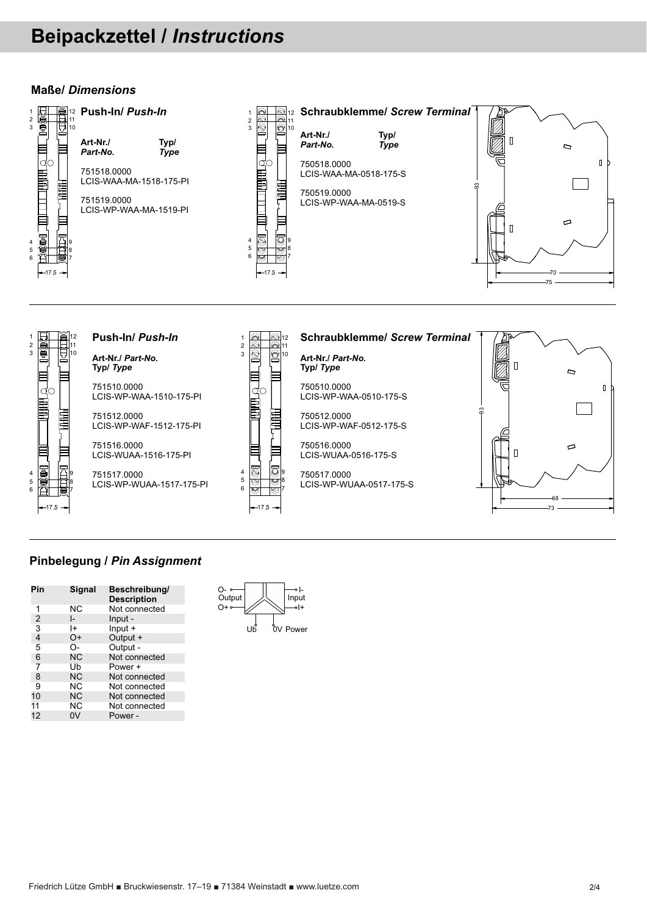## **Instrucciones /** *Instructions*

#### **Dimensiones /** *Dimensions*







# **Tornillo /** *Screw Terminal*

LCIS-WAA-MA-0518-175-S

LCIS-WP-WAA-MA-0519-S

750518.0000

750519.0000

**Código / Tipo/** *Part-No. Type*

 $\Box$  $\overline{a}$ 93 Þ  $\begin{array}{c} \square \end{array}$ 



#### **Código /** *Part-No.* **Tipo /** *Type*

**Clema /** *Push-In*

751510.0000 LCIS-WP-WAA-1510-175-PI

751512.0000 LCIS-WP-WAF-1512-175-PI

751516.0000 LCIS-WUAA-1516-175-PI

751517.0000 LCIS-WP-WUAA-1517-175-PI



## **Tornillo /** *Screw Terminal* **Código /** *Part-No.*

**Tipo /** *Type* 750510.0000

LCIS-WP-WAA-0510-175-S

750512.0000 LCIS-WP-WAF-0512-175-S

750516.0000 LCIS-WUAA-0516-175-S

750517.0000 LCIS-WP-WUAA-0517-175-S



70 75

 $\mathbf{I}$ 

### **Conexionado /** *Pin Assignment*

| Pin            | Signal    | Descripción /<br><b>Description</b> |
|----------------|-----------|-------------------------------------|
| 1              | ΝC        | Not connected                       |
| 2              | I-        | Input -                             |
| $\overline{3}$ | I+        | $Input +$                           |
| $\overline{4}$ | $O+$      | Output +                            |
| 5              | O-        | Output -                            |
| 6              | <b>NC</b> | Not connected                       |
| 7              | Ub        | Power +                             |
| 8              | <b>NC</b> | Not connected                       |
| 9              | <b>NC</b> | Not connected                       |
| 10             | <b>NC</b> | Not connected                       |
| 11             | <b>NC</b> | Not connected                       |
| 12             |           | Power -                             |